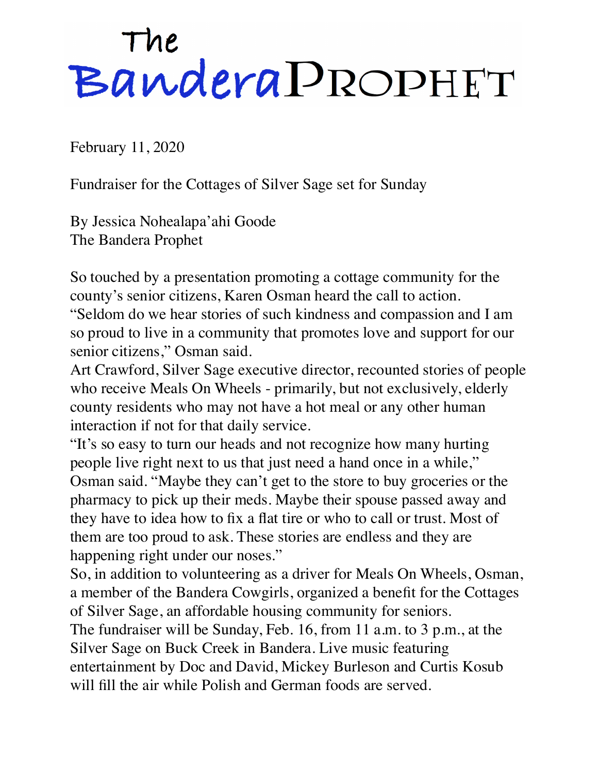## The<br>BanderaPROPHET

February 11, 2020

Fundraiser for the Cottages of Silver Sage set for Sunday

By Jessica Nohealapa'ahi Goode The Bandera Prophet

So touched by a presentation promoting a cottage community for the county's senior citizens, Karen Osman heard the call to action. "Seldom do we hear stories of such kindness and compassion and I am so proud to live in a community that promotes love and support for our senior citizens," Osman said.

Art Crawford, Silver Sage executive director, recounted stories of people who receive Meals On Wheels - primarily, but not exclusively, elderly county residents who may not have a hot meal or any other human interaction if not for that daily service.

"It's so easy to turn our heads and not recognize how many hurting people live right next to us that just need a hand once in a while," Osman said. "Maybe they can't get to the store to buy groceries or the pharmacy to pick up their meds. Maybe their spouse passed away and they have to idea how to fix a flat tire or who to call or trust. Most of them are too proud to ask. These stories are endless and they are happening right under our noses."

So, in addition to volunteering as a driver for Meals On Wheels, Osman, a member of the Bandera Cowgirls, organized a benefit for the Cottages of Silver Sage, an affordable housing community for seniors.

The fundraiser will be Sunday, Feb. 16, from 11 a.m. to 3 p.m., at the Silver Sage on Buck Creek in Bandera. Live music featuring entertainment by Doc and David, Mickey Burleson and Curtis Kosub will fill the air while Polish and German foods are served.